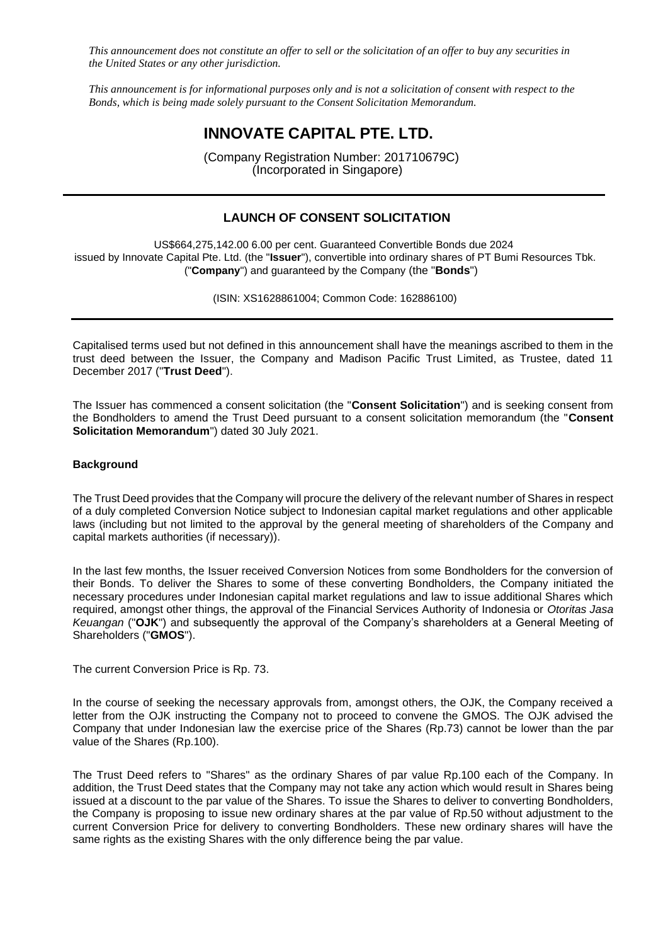*This announcement does not constitute an offer to sell or the solicitation of an offer to buy any securities in the United States or any other jurisdiction.*

*This announcement is for informational purposes only and is not a solicitation of consent with respect to the Bonds, which is being made solely pursuant to the Consent Solicitation Memorandum.*

# **INNOVATE CAPITAL PTE. LTD.**

(Company Registration Number: 201710679C) (Incorporated in Singapore)

## **LAUNCH OF CONSENT SOLICITATION**

US\$664,275,142.00 6.00 per cent. Guaranteed Convertible Bonds due 2024 issued by Innovate Capital Pte. Ltd. (the "**Issuer**"), convertible into ordinary shares of PT Bumi Resources Tbk. ("**Company**") and guaranteed by the Company (the "**Bonds**")

(ISIN: XS1628861004; Common Code: 162886100)

Capitalised terms used but not defined in this announcement shall have the meanings ascribed to them in the trust deed between the Issuer, the Company and Madison Pacific Trust Limited, as Trustee, dated 11 December 2017 ("**Trust Deed**").

The Issuer has commenced a consent solicitation (the "**Consent Solicitation**") and is seeking consent from the Bondholders to amend the Trust Deed pursuant to a consent solicitation memorandum (the "**Consent Solicitation Memorandum**") dated 30 July 2021.

#### **Background**

The Trust Deed provides that the Company will procure the delivery of the relevant number of Shares in respect of a duly completed Conversion Notice subject to Indonesian capital market regulations and other applicable laws (including but not limited to the approval by the general meeting of shareholders of the Company and capital markets authorities (if necessary)).

In the last few months, the Issuer received Conversion Notices from some Bondholders for the conversion of their Bonds. To deliver the Shares to some of these converting Bondholders, the Company initiated the necessary procedures under Indonesian capital market regulations and law to issue additional Shares which required, amongst other things, the approval of the Financial Services Authority of Indonesia or *Otoritas Jasa Keuangan* ("**OJK**") and subsequently the approval of the Company's shareholders at a General Meeting of Shareholders ("**GMOS**").

The current Conversion Price is Rp. 73.

In the course of seeking the necessary approvals from, amongst others, the OJK, the Company received a letter from the OJK instructing the Company not to proceed to convene the GMOS. The OJK advised the Company that under Indonesian law the exercise price of the Shares (Rp.73) cannot be lower than the par value of the Shares (Rp.100).

The Trust Deed refers to "Shares" as the ordinary Shares of par value Rp.100 each of the Company. In addition, the Trust Deed states that the Company may not take any action which would result in Shares being issued at a discount to the par value of the Shares. To issue the Shares to deliver to converting Bondholders, the Company is proposing to issue new ordinary shares at the par value of Rp.50 without adjustment to the current Conversion Price for delivery to converting Bondholders. These new ordinary shares will have the same rights as the existing Shares with the only difference being the par value.